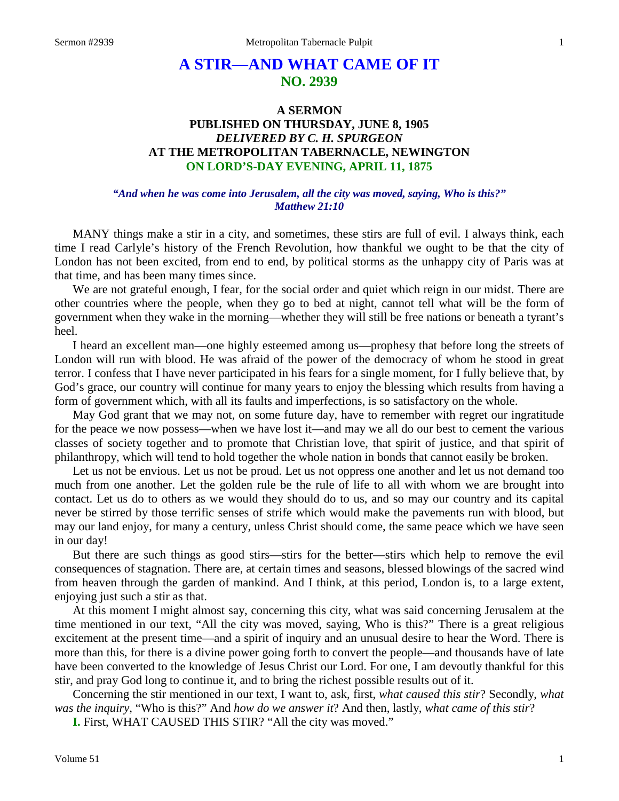# **A STIR—AND WHAT CAME OF IT NO. 2939**

## **A SERMON PUBLISHED ON THURSDAY, JUNE 8, 1905** *DELIVERED BY C. H. SPURGEON* **AT THE METROPOLITAN TABERNACLE, NEWINGTON ON LORD'S-DAY EVENING, APRIL 11, 1875**

#### *"And when he was come into Jerusalem, all the city was moved, saying, Who is this?" Matthew 21:10*

MANY things make a stir in a city, and sometimes, these stirs are full of evil. I always think, each time I read Carlyle's history of the French Revolution, how thankful we ought to be that the city of London has not been excited, from end to end, by political storms as the unhappy city of Paris was at that time, and has been many times since.

We are not grateful enough, I fear, for the social order and quiet which reign in our midst. There are other countries where the people, when they go to bed at night, cannot tell what will be the form of government when they wake in the morning—whether they will still be free nations or beneath a tyrant's heel.

I heard an excellent man—one highly esteemed among us—prophesy that before long the streets of London will run with blood. He was afraid of the power of the democracy of whom he stood in great terror. I confess that I have never participated in his fears for a single moment, for I fully believe that, by God's grace, our country will continue for many years to enjoy the blessing which results from having a form of government which, with all its faults and imperfections, is so satisfactory on the whole.

May God grant that we may not, on some future day, have to remember with regret our ingratitude for the peace we now possess—when we have lost it—and may we all do our best to cement the various classes of society together and to promote that Christian love, that spirit of justice, and that spirit of philanthropy, which will tend to hold together the whole nation in bonds that cannot easily be broken.

Let us not be envious. Let us not be proud. Let us not oppress one another and let us not demand too much from one another. Let the golden rule be the rule of life to all with whom we are brought into contact. Let us do to others as we would they should do to us, and so may our country and its capital never be stirred by those terrific senses of strife which would make the pavements run with blood, but may our land enjoy, for many a century, unless Christ should come, the same peace which we have seen in our day!

But there are such things as good stirs—stirs for the better—stirs which help to remove the evil consequences of stagnation. There are, at certain times and seasons, blessed blowings of the sacred wind from heaven through the garden of mankind. And I think, at this period, London is, to a large extent, enjoying just such a stir as that.

At this moment I might almost say, concerning this city, what was said concerning Jerusalem at the time mentioned in our text, "All the city was moved, saying, Who is this?" There is a great religious excitement at the present time—and a spirit of inquiry and an unusual desire to hear the Word. There is more than this, for there is a divine power going forth to convert the people—and thousands have of late have been converted to the knowledge of Jesus Christ our Lord. For one, I am devoutly thankful for this stir, and pray God long to continue it, and to bring the richest possible results out of it.

Concerning the stir mentioned in our text, I want to, ask, first, *what caused this stir*? Secondly, *what was the inquiry*, "Who is this?" And *how do we answer it*? And then, lastly, *what came of this stir*?

**I.** First, WHAT CAUSED THIS STIR? "All the city was moved."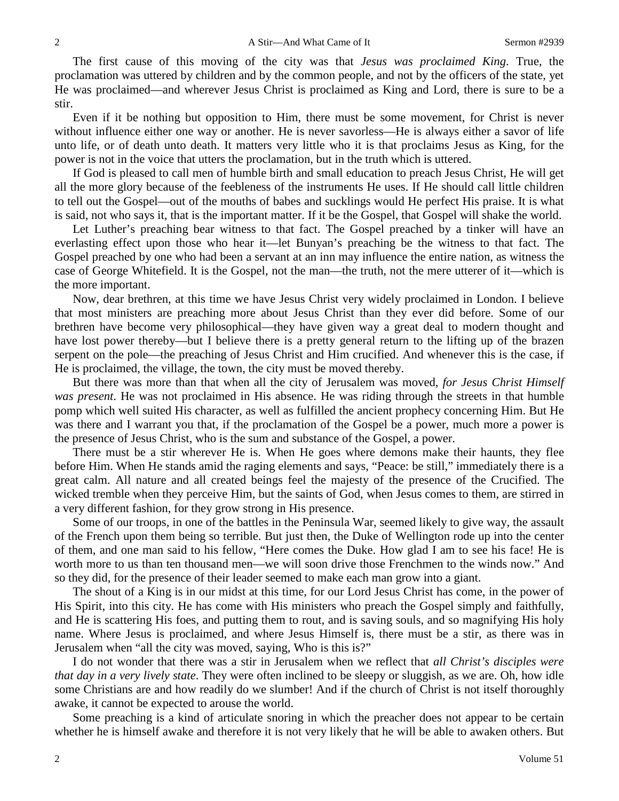The first cause of this moving of the city was that *Jesus was proclaimed King*. True, the proclamation was uttered by children and by the common people, and not by the officers of the state, yet He was proclaimed—and wherever Jesus Christ is proclaimed as King and Lord, there is sure to be a stir.

Even if it be nothing but opposition to Him, there must be some movement, for Christ is never without influence either one way or another. He is never savorless—He is always either a savor of life unto life, or of death unto death. It matters very little who it is that proclaims Jesus as King, for the power is not in the voice that utters the proclamation, but in the truth which is uttered.

If God is pleased to call men of humble birth and small education to preach Jesus Christ, He will get all the more glory because of the feebleness of the instruments He uses. If He should call little children to tell out the Gospel—out of the mouths of babes and sucklings would He perfect His praise. It is what is said, not who says it, that is the important matter. If it be the Gospel, that Gospel will shake the world.

Let Luther's preaching bear witness to that fact. The Gospel preached by a tinker will have an everlasting effect upon those who hear it—let Bunyan's preaching be the witness to that fact. The Gospel preached by one who had been a servant at an inn may influence the entire nation, as witness the case of George Whitefield. It is the Gospel, not the man—the truth, not the mere utterer of it—which is the more important.

Now, dear brethren, at this time we have Jesus Christ very widely proclaimed in London. I believe that most ministers are preaching more about Jesus Christ than they ever did before. Some of our brethren have become very philosophical—they have given way a great deal to modern thought and have lost power thereby—but I believe there is a pretty general return to the lifting up of the brazen serpent on the pole—the preaching of Jesus Christ and Him crucified. And whenever this is the case, if He is proclaimed, the village, the town, the city must be moved thereby.

But there was more than that when all the city of Jerusalem was moved, *for Jesus Christ Himself was present*. He was not proclaimed in His absence. He was riding through the streets in that humble pomp which well suited His character, as well as fulfilled the ancient prophecy concerning Him. But He was there and I warrant you that, if the proclamation of the Gospel be a power, much more a power is the presence of Jesus Christ, who is the sum and substance of the Gospel, a power.

There must be a stir wherever He is. When He goes where demons make their haunts, they flee before Him. When He stands amid the raging elements and says, "Peace: be still," immediately there is a great calm. All nature and all created beings feel the majesty of the presence of the Crucified. The wicked tremble when they perceive Him, but the saints of God, when Jesus comes to them, are stirred in a very different fashion, for they grow strong in His presence.

Some of our troops, in one of the battles in the Peninsula War, seemed likely to give way, the assault of the French upon them being so terrible. But just then, the Duke of Wellington rode up into the center of them, and one man said to his fellow, "Here comes the Duke. How glad I am to see his face! He is worth more to us than ten thousand men—we will soon drive those Frenchmen to the winds now." And so they did, for the presence of their leader seemed to make each man grow into a giant.

The shout of a King is in our midst at this time, for our Lord Jesus Christ has come, in the power of His Spirit, into this city. He has come with His ministers who preach the Gospel simply and faithfully, and He is scattering His foes, and putting them to rout, and is saving souls, and so magnifying His holy name. Where Jesus is proclaimed, and where Jesus Himself is, there must be a stir, as there was in Jerusalem when "all the city was moved, saying, Who is this is?"

I do not wonder that there was a stir in Jerusalem when we reflect that *all Christ's disciples were that day in a very lively state*. They were often inclined to be sleepy or sluggish, as we are. Oh, how idle some Christians are and how readily do we slumber! And if the church of Christ is not itself thoroughly awake, it cannot be expected to arouse the world.

Some preaching is a kind of articulate snoring in which the preacher does not appear to be certain whether he is himself awake and therefore it is not very likely that he will be able to awaken others. But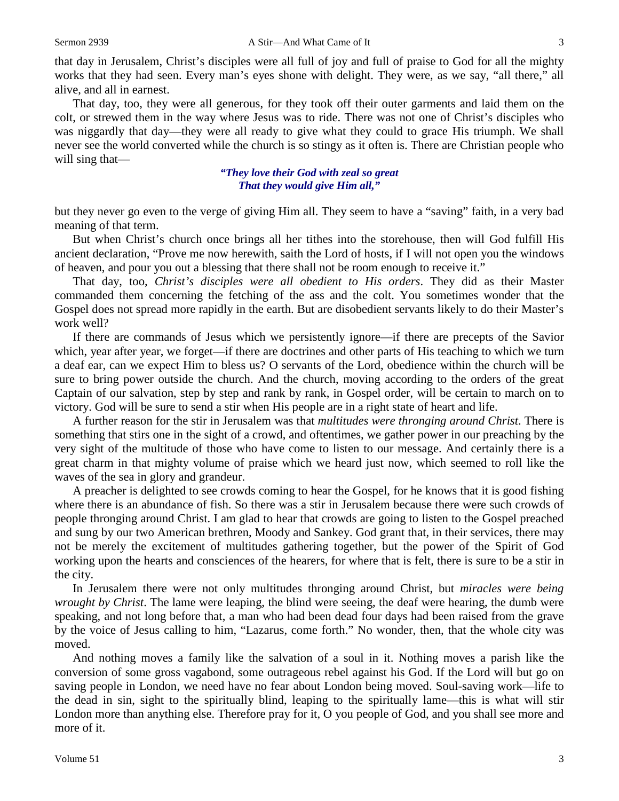that day in Jerusalem, Christ's disciples were all full of joy and full of praise to God for all the mighty works that they had seen. Every man's eyes shone with delight. They were, as we say, "all there," all alive, and all in earnest.

That day, too, they were all generous, for they took off their outer garments and laid them on the colt, or strewed them in the way where Jesus was to ride. There was not one of Christ's disciples who was niggardly that day—they were all ready to give what they could to grace His triumph. We shall never see the world converted while the church is so stingy as it often is. There are Christian people who will sing that—

> *"They love their God with zeal so great That they would give Him all,"*

but they never go even to the verge of giving Him all. They seem to have a "saving" faith, in a very bad meaning of that term.

But when Christ's church once brings all her tithes into the storehouse, then will God fulfill His ancient declaration, "Prove me now herewith, saith the Lord of hosts, if I will not open you the windows of heaven, and pour you out a blessing that there shall not be room enough to receive it."

That day, too, *Christ's disciples were all obedient to His orders*. They did as their Master commanded them concerning the fetching of the ass and the colt. You sometimes wonder that the Gospel does not spread more rapidly in the earth. But are disobedient servants likely to do their Master's work well?

If there are commands of Jesus which we persistently ignore—if there are precepts of the Savior which, year after year, we forget—if there are doctrines and other parts of His teaching to which we turn a deaf ear, can we expect Him to bless us? O servants of the Lord, obedience within the church will be sure to bring power outside the church. And the church, moving according to the orders of the great Captain of our salvation, step by step and rank by rank, in Gospel order, will be certain to march on to victory. God will be sure to send a stir when His people are in a right state of heart and life.

A further reason for the stir in Jerusalem was that *multitudes were thronging around Christ*. There is something that stirs one in the sight of a crowd, and oftentimes, we gather power in our preaching by the very sight of the multitude of those who have come to listen to our message. And certainly there is a great charm in that mighty volume of praise which we heard just now, which seemed to roll like the waves of the sea in glory and grandeur.

A preacher is delighted to see crowds coming to hear the Gospel, for he knows that it is good fishing where there is an abundance of fish. So there was a stir in Jerusalem because there were such crowds of people thronging around Christ. I am glad to hear that crowds are going to listen to the Gospel preached and sung by our two American brethren, Moody and Sankey. God grant that, in their services, there may not be merely the excitement of multitudes gathering together, but the power of the Spirit of God working upon the hearts and consciences of the hearers, for where that is felt, there is sure to be a stir in the city.

In Jerusalem there were not only multitudes thronging around Christ, but *miracles were being wrought by Christ*. The lame were leaping, the blind were seeing, the deaf were hearing, the dumb were speaking, and not long before that, a man who had been dead four days had been raised from the grave by the voice of Jesus calling to him, "Lazarus, come forth." No wonder, then, that the whole city was moved.

And nothing moves a family like the salvation of a soul in it. Nothing moves a parish like the conversion of some gross vagabond, some outrageous rebel against his God. If the Lord will but go on saving people in London, we need have no fear about London being moved. Soul-saving work—life to the dead in sin, sight to the spiritually blind, leaping to the spiritually lame—this is what will stir London more than anything else. Therefore pray for it, O you people of God, and you shall see more and more of it.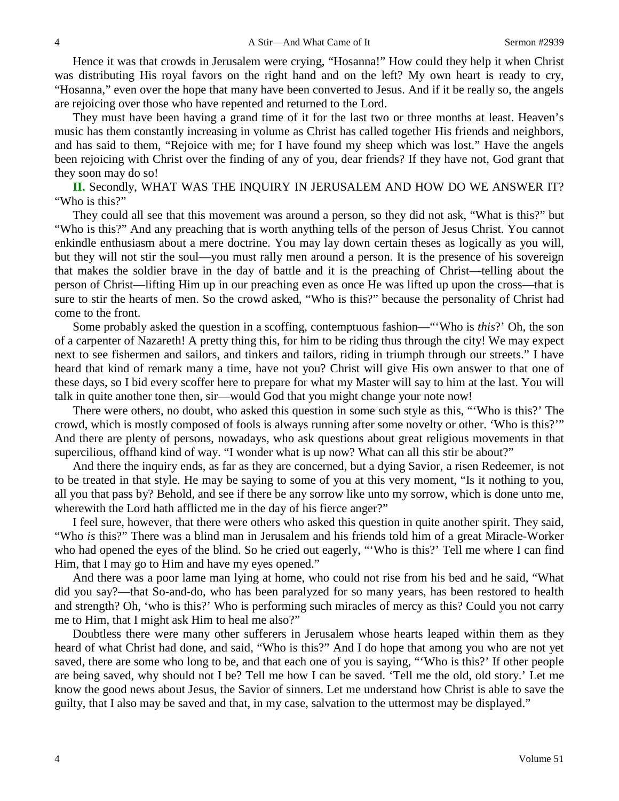Hence it was that crowds in Jerusalem were crying, "Hosanna!" How could they help it when Christ was distributing His royal favors on the right hand and on the left? My own heart is ready to cry, "Hosanna," even over the hope that many have been converted to Jesus. And if it be really so, the angels are rejoicing over those who have repented and returned to the Lord.

They must have been having a grand time of it for the last two or three months at least. Heaven's music has them constantly increasing in volume as Christ has called together His friends and neighbors, and has said to them, "Rejoice with me; for I have found my sheep which was lost." Have the angels been rejoicing with Christ over the finding of any of you, dear friends? If they have not, God grant that they soon may do so!

**II.** Secondly, WHAT WAS THE INQUIRY IN JERUSALEM AND HOW DO WE ANSWER IT? "Who is this?"

They could all see that this movement was around a person, so they did not ask, "What is this?" but "Who is this?" And any preaching that is worth anything tells of the person of Jesus Christ. You cannot enkindle enthusiasm about a mere doctrine. You may lay down certain theses as logically as you will, but they will not stir the soul—you must rally men around a person. It is the presence of his sovereign that makes the soldier brave in the day of battle and it is the preaching of Christ—telling about the person of Christ—lifting Him up in our preaching even as once He was lifted up upon the cross—that is sure to stir the hearts of men. So the crowd asked, "Who is this?" because the personality of Christ had come to the front.

Some probably asked the question in a scoffing, contemptuous fashion—"'Who is *this*?' Oh, the son of a carpenter of Nazareth! A pretty thing this, for him to be riding thus through the city! We may expect next to see fishermen and sailors, and tinkers and tailors, riding in triumph through our streets." I have heard that kind of remark many a time, have not you? Christ will give His own answer to that one of these days, so I bid every scoffer here to prepare for what my Master will say to him at the last. You will talk in quite another tone then, sir—would God that you might change your note now!

There were others, no doubt, who asked this question in some such style as this, "'Who is this?' The crowd, which is mostly composed of fools is always running after some novelty or other. 'Who is this?'" And there are plenty of persons, nowadays, who ask questions about great religious movements in that supercilious, offhand kind of way. "I wonder what is up now? What can all this stir be about?"

And there the inquiry ends, as far as they are concerned, but a dying Savior, a risen Redeemer, is not to be treated in that style. He may be saying to some of you at this very moment, "Is it nothing to you, all you that pass by? Behold, and see if there be any sorrow like unto my sorrow, which is done unto me, wherewith the Lord hath afflicted me in the day of his fierce anger?"

I feel sure, however, that there were others who asked this question in quite another spirit. They said, "Who *is* this?" There was a blind man in Jerusalem and his friends told him of a great Miracle-Worker who had opened the eyes of the blind. So he cried out eagerly, "'Who is this?' Tell me where I can find Him, that I may go to Him and have my eyes opened."

And there was a poor lame man lying at home, who could not rise from his bed and he said, "What did you say?—that So-and-do, who has been paralyzed for so many years, has been restored to health and strength? Oh, 'who is this?' Who is performing such miracles of mercy as this? Could you not carry me to Him, that I might ask Him to heal me also?"

Doubtless there were many other sufferers in Jerusalem whose hearts leaped within them as they heard of what Christ had done, and said, "Who is this?" And I do hope that among you who are not yet saved, there are some who long to be, and that each one of you is saying, "'Who is this?' If other people are being saved, why should not I be? Tell me how I can be saved. 'Tell me the old, old story.' Let me know the good news about Jesus, the Savior of sinners. Let me understand how Christ is able to save the guilty, that I also may be saved and that, in my case, salvation to the uttermost may be displayed."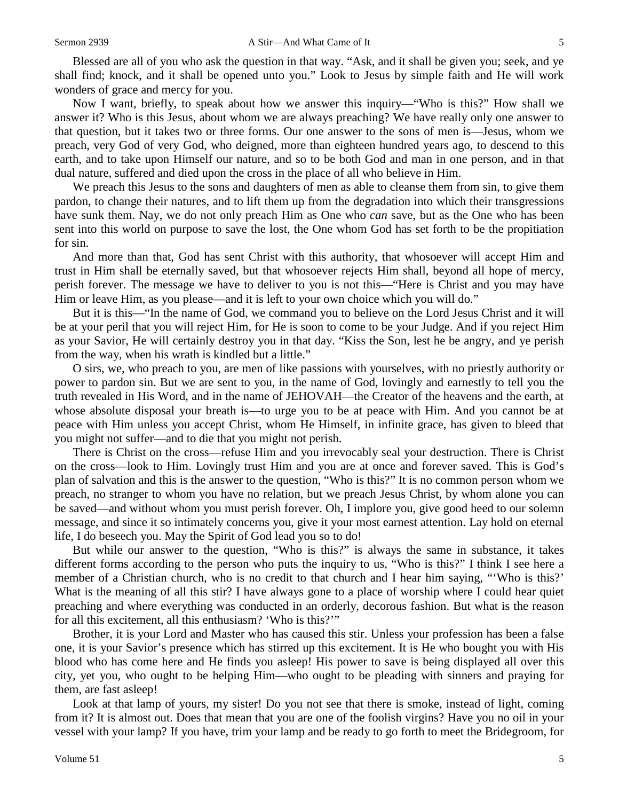Blessed are all of you who ask the question in that way. "Ask, and it shall be given you; seek, and ye shall find; knock, and it shall be opened unto you." Look to Jesus by simple faith and He will work wonders of grace and mercy for you.

Now I want, briefly, to speak about how we answer this inquiry—"Who is this?" How shall we answer it? Who is this Jesus, about whom we are always preaching? We have really only one answer to that question, but it takes two or three forms. Our one answer to the sons of men is—Jesus, whom we preach, very God of very God, who deigned, more than eighteen hundred years ago, to descend to this earth, and to take upon Himself our nature, and so to be both God and man in one person, and in that dual nature, suffered and died upon the cross in the place of all who believe in Him.

We preach this Jesus to the sons and daughters of men as able to cleanse them from sin, to give them pardon, to change their natures, and to lift them up from the degradation into which their transgressions have sunk them. Nay, we do not only preach Him as One who *can* save, but as the One who has been sent into this world on purpose to save the lost, the One whom God has set forth to be the propitiation for sin.

And more than that, God has sent Christ with this authority, that whosoever will accept Him and trust in Him shall be eternally saved, but that whosoever rejects Him shall, beyond all hope of mercy, perish forever. The message we have to deliver to you is not this—"Here is Christ and you may have Him or leave Him, as you please—and it is left to your own choice which you will do."

But it is this—"In the name of God, we command you to believe on the Lord Jesus Christ and it will be at your peril that you will reject Him, for He is soon to come to be your Judge. And if you reject Him as your Savior, He will certainly destroy you in that day. "Kiss the Son, lest he be angry, and ye perish from the way, when his wrath is kindled but a little."

O sirs, we, who preach to you, are men of like passions with yourselves, with no priestly authority or power to pardon sin. But we are sent to you, in the name of God, lovingly and earnestly to tell you the truth revealed in His Word, and in the name of JEHOVAH—the Creator of the heavens and the earth, at whose absolute disposal your breath is—to urge you to be at peace with Him. And you cannot be at peace with Him unless you accept Christ, whom He Himself, in infinite grace, has given to bleed that you might not suffer—and to die that you might not perish.

There is Christ on the cross—refuse Him and you irrevocably seal your destruction. There is Christ on the cross—look to Him. Lovingly trust Him and you are at once and forever saved. This is God's plan of salvation and this is the answer to the question, "Who is this?" It is no common person whom we preach, no stranger to whom you have no relation, but we preach Jesus Christ, by whom alone you can be saved—and without whom you must perish forever. Oh, I implore you, give good heed to our solemn message, and since it so intimately concerns you, give it your most earnest attention. Lay hold on eternal life, I do beseech you. May the Spirit of God lead you so to do!

But while our answer to the question, "Who is this?" is always the same in substance, it takes different forms according to the person who puts the inquiry to us, "Who is this?" I think I see here a member of a Christian church, who is no credit to that church and I hear him saying, "Who is this?' What is the meaning of all this stir? I have always gone to a place of worship where I could hear quiet preaching and where everything was conducted in an orderly, decorous fashion. But what is the reason for all this excitement, all this enthusiasm? 'Who is this?'"

Brother, it is your Lord and Master who has caused this stir. Unless your profession has been a false one, it is your Savior's presence which has stirred up this excitement. It is He who bought you with His blood who has come here and He finds you asleep! His power to save is being displayed all over this city, yet you, who ought to be helping Him—who ought to be pleading with sinners and praying for them, are fast asleep!

Look at that lamp of yours, my sister! Do you not see that there is smoke, instead of light, coming from it? It is almost out. Does that mean that you are one of the foolish virgins? Have you no oil in your vessel with your lamp? If you have, trim your lamp and be ready to go forth to meet the Bridegroom, for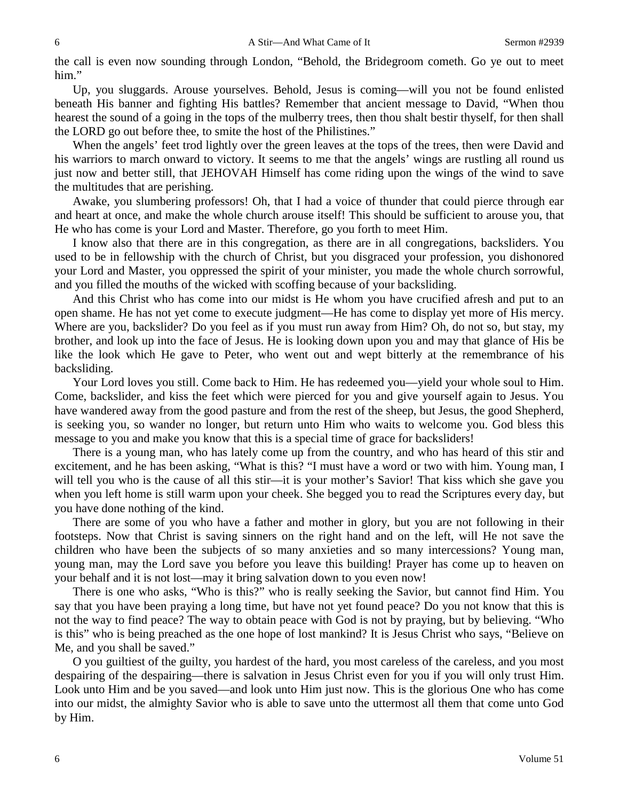the call is even now sounding through London, "Behold, the Bridegroom cometh. Go ye out to meet him."

Up, you sluggards. Arouse yourselves. Behold, Jesus is coming—will you not be found enlisted beneath His banner and fighting His battles? Remember that ancient message to David, "When thou hearest the sound of a going in the tops of the mulberry trees, then thou shalt bestir thyself, for then shall the LORD go out before thee, to smite the host of the Philistines."

When the angels' feet trod lightly over the green leaves at the tops of the trees, then were David and his warriors to march onward to victory. It seems to me that the angels' wings are rustling all round us just now and better still, that JEHOVAH Himself has come riding upon the wings of the wind to save the multitudes that are perishing.

Awake, you slumbering professors! Oh, that I had a voice of thunder that could pierce through ear and heart at once, and make the whole church arouse itself! This should be sufficient to arouse you, that He who has come is your Lord and Master. Therefore, go you forth to meet Him.

I know also that there are in this congregation, as there are in all congregations, backsliders. You used to be in fellowship with the church of Christ, but you disgraced your profession, you dishonored your Lord and Master, you oppressed the spirit of your minister, you made the whole church sorrowful, and you filled the mouths of the wicked with scoffing because of your backsliding.

And this Christ who has come into our midst is He whom you have crucified afresh and put to an open shame. He has not yet come to execute judgment—He has come to display yet more of His mercy. Where are you, backslider? Do you feel as if you must run away from Him? Oh, do not so, but stay, my brother, and look up into the face of Jesus. He is looking down upon you and may that glance of His be like the look which He gave to Peter, who went out and wept bitterly at the remembrance of his backsliding.

Your Lord loves you still. Come back to Him. He has redeemed you—yield your whole soul to Him. Come, backslider, and kiss the feet which were pierced for you and give yourself again to Jesus. You have wandered away from the good pasture and from the rest of the sheep, but Jesus, the good Shepherd, is seeking you, so wander no longer, but return unto Him who waits to welcome you. God bless this message to you and make you know that this is a special time of grace for backsliders!

There is a young man, who has lately come up from the country, and who has heard of this stir and excitement, and he has been asking, "What is this? "I must have a word or two with him. Young man, I will tell you who is the cause of all this stir—it is your mother's Savior! That kiss which she gave you when you left home is still warm upon your cheek. She begged you to read the Scriptures every day, but you have done nothing of the kind.

There are some of you who have a father and mother in glory, but you are not following in their footsteps. Now that Christ is saving sinners on the right hand and on the left, will He not save the children who have been the subjects of so many anxieties and so many intercessions? Young man, young man, may the Lord save you before you leave this building! Prayer has come up to heaven on your behalf and it is not lost—may it bring salvation down to you even now!

There is one who asks, "Who is this?" who is really seeking the Savior, but cannot find Him. You say that you have been praying a long time, but have not yet found peace? Do you not know that this is not the way to find peace? The way to obtain peace with God is not by praying, but by believing. "Who is this" who is being preached as the one hope of lost mankind? It is Jesus Christ who says, "Believe on Me, and you shall be saved."

O you guiltiest of the guilty, you hardest of the hard, you most careless of the careless, and you most despairing of the despairing—there is salvation in Jesus Christ even for you if you will only trust Him. Look unto Him and be you saved—and look unto Him just now. This is the glorious One who has come into our midst, the almighty Savior who is able to save unto the uttermost all them that come unto God by Him.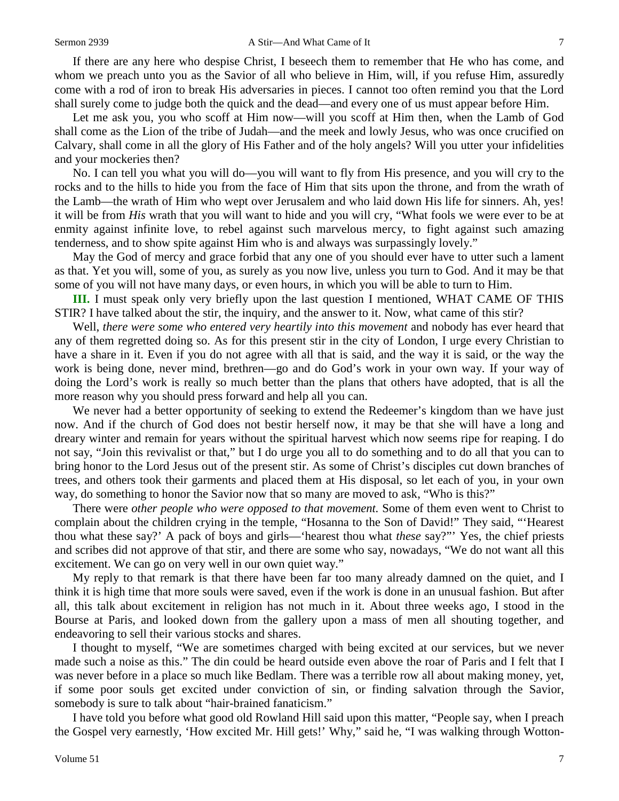If there are any here who despise Christ, I beseech them to remember that He who has come, and whom we preach unto you as the Savior of all who believe in Him, will, if you refuse Him, assuredly come with a rod of iron to break His adversaries in pieces. I cannot too often remind you that the Lord shall surely come to judge both the quick and the dead—and every one of us must appear before Him.

Let me ask you, you who scoff at Him now—will you scoff at Him then, when the Lamb of God shall come as the Lion of the tribe of Judah—and the meek and lowly Jesus, who was once crucified on Calvary, shall come in all the glory of His Father and of the holy angels? Will you utter your infidelities and your mockeries then?

No. I can tell you what you will do—you will want to fly from His presence, and you will cry to the rocks and to the hills to hide you from the face of Him that sits upon the throne, and from the wrath of the Lamb—the wrath of Him who wept over Jerusalem and who laid down His life for sinners. Ah, yes! it will be from *His* wrath that you will want to hide and you will cry, "What fools we were ever to be at enmity against infinite love, to rebel against such marvelous mercy, to fight against such amazing tenderness, and to show spite against Him who is and always was surpassingly lovely."

May the God of mercy and grace forbid that any one of you should ever have to utter such a lament as that. Yet you will, some of you, as surely as you now live, unless you turn to God. And it may be that some of you will not have many days, or even hours, in which you will be able to turn to Him.

**III.** I must speak only very briefly upon the last question I mentioned, WHAT CAME OF THIS STIR? I have talked about the stir, the inquiry, and the answer to it. Now, what came of this stir?

Well, *there were some who entered very heartily into this movement* and nobody has ever heard that any of them regretted doing so. As for this present stir in the city of London, I urge every Christian to have a share in it. Even if you do not agree with all that is said, and the way it is said, or the way the work is being done, never mind, brethren—go and do God's work in your own way. If your way of doing the Lord's work is really so much better than the plans that others have adopted, that is all the more reason why you should press forward and help all you can.

We never had a better opportunity of seeking to extend the Redeemer's kingdom than we have just now. And if the church of God does not bestir herself now, it may be that she will have a long and dreary winter and remain for years without the spiritual harvest which now seems ripe for reaping. I do not say, "Join this revivalist or that," but I do urge you all to do something and to do all that you can to bring honor to the Lord Jesus out of the present stir. As some of Christ's disciples cut down branches of trees, and others took their garments and placed them at His disposal, so let each of you, in your own way, do something to honor the Savior now that so many are moved to ask, "Who is this?"

There were *other people who were opposed to that movement.* Some of them even went to Christ to complain about the children crying in the temple, "Hosanna to the Son of David!" They said, "'Hearest thou what these say?' A pack of boys and girls—'hearest thou what *these* say?"' Yes, the chief priests and scribes did not approve of that stir, and there are some who say, nowadays, "We do not want all this excitement. We can go on very well in our own quiet way."

My reply to that remark is that there have been far too many already damned on the quiet, and I think it is high time that more souls were saved, even if the work is done in an unusual fashion. But after all, this talk about excitement in religion has not much in it. About three weeks ago, I stood in the Bourse at Paris, and looked down from the gallery upon a mass of men all shouting together, and endeavoring to sell their various stocks and shares.

I thought to myself, "We are sometimes charged with being excited at our services, but we never made such a noise as this." The din could be heard outside even above the roar of Paris and I felt that I was never before in a place so much like Bedlam. There was a terrible row all about making money, yet, if some poor souls get excited under conviction of sin, or finding salvation through the Savior, somebody is sure to talk about "hair-brained fanaticism."

I have told you before what good old Rowland Hill said upon this matter, "People say, when I preach the Gospel very earnestly, 'How excited Mr. Hill gets!' Why," said he, "I was walking through Wotton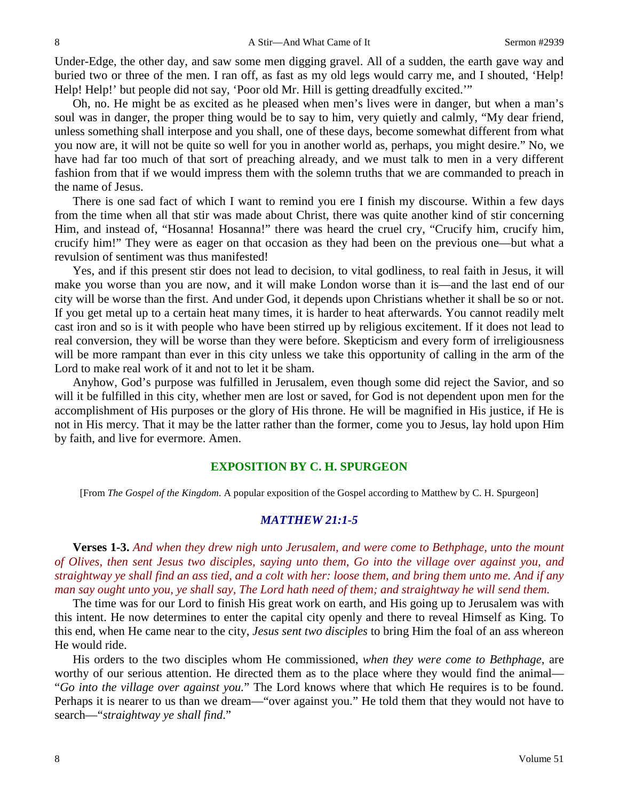Under-Edge, the other day, and saw some men digging gravel. All of a sudden, the earth gave way and buried two or three of the men. I ran off, as fast as my old legs would carry me, and I shouted, 'Help! Help! Help!' but people did not say, 'Poor old Mr. Hill is getting dreadfully excited.'"

Oh, no. He might be as excited as he pleased when men's lives were in danger, but when a man's soul was in danger, the proper thing would be to say to him, very quietly and calmly, "My dear friend, unless something shall interpose and you shall, one of these days, become somewhat different from what you now are, it will not be quite so well for you in another world as, perhaps, you might desire." No, we have had far too much of that sort of preaching already, and we must talk to men in a very different fashion from that if we would impress them with the solemn truths that we are commanded to preach in the name of Jesus.

There is one sad fact of which I want to remind you ere I finish my discourse. Within a few days from the time when all that stir was made about Christ, there was quite another kind of stir concerning Him, and instead of, "Hosanna! Hosanna!" there was heard the cruel cry, "Crucify him, crucify him, crucify him!" They were as eager on that occasion as they had been on the previous one—but what a revulsion of sentiment was thus manifested!

Yes, and if this present stir does not lead to decision, to vital godliness, to real faith in Jesus, it will make you worse than you are now, and it will make London worse than it is—and the last end of our city will be worse than the first. And under God, it depends upon Christians whether it shall be so or not. If you get metal up to a certain heat many times, it is harder to heat afterwards. You cannot readily melt cast iron and so is it with people who have been stirred up by religious excitement. If it does not lead to real conversion, they will be worse than they were before. Skepticism and every form of irreligiousness will be more rampant than ever in this city unless we take this opportunity of calling in the arm of the Lord to make real work of it and not to let it be sham.

Anyhow, God's purpose was fulfilled in Jerusalem, even though some did reject the Savior, and so will it be fulfilled in this city, whether men are lost or saved, for God is not dependent upon men for the accomplishment of His purposes or the glory of His throne. He will be magnified in His justice, if He is not in His mercy. That it may be the latter rather than the former, come you to Jesus, lay hold upon Him by faith, and live for evermore. Amen.

### **EXPOSITION BY C. H. SPURGEON**

[From *The Gospel of the Kingdom*. A popular exposition of the Gospel according to Matthew by C. H. Spurgeon]

#### *MATTHEW 21:1-5*

**Verses 1-3.** *And when they drew nigh unto Jerusalem, and were come to Bethphage, unto the mount of Olives, then sent Jesus two disciples, saying unto them, Go into the village over against you, and straightway ye shall find an ass tied, and a colt with her: loose them, and bring them unto me. And if any man say ought unto you, ye shall say, The Lord hath need of them; and straightway he will send them.*

The time was for our Lord to finish His great work on earth, and His going up to Jerusalem was with this intent. He now determines to enter the capital city openly and there to reveal Himself as King. To this end, when He came near to the city, *Jesus sent two disciples* to bring Him the foal of an ass whereon He would ride.

His orders to the two disciples whom He commissioned, *when they were come to Bethphage*, are worthy of our serious attention. He directed them as to the place where they would find the animal— "*Go into the village over against you.*" The Lord knows where that which He requires is to be found. Perhaps it is nearer to us than we dream—"over against you." He told them that they would not have to search—"*straightway ye shall find*."